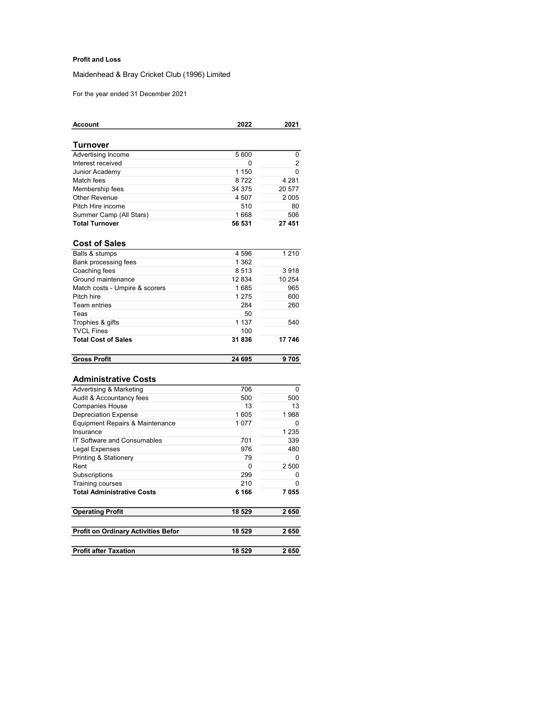## Profit and Loss

Maidenhead & Bray Cricket Club (1996) Limited

For the year ended 31 December 2021

| <b>Account</b>                 | 2022    | 2021    |
|--------------------------------|---------|---------|
| Turnover                       |         |         |
| Advertising Income             | 5600    | 0       |
| Interest received              | 0       | 2       |
| Junior Academy                 | 1 1 5 0 | 0       |
| Match fees                     | 8722    | 4 2 8 1 |
| Membership fees                | 34 375  | 20 577  |
| Other Revenue                  | 4 507   | 2005    |
| Pitch Hire income              | 510     | 80      |
| Summer Camp (All Stars)        | 1668    | 506     |
| <b>Total Turnover</b>          | 56 531  | 27 451  |
| <b>Cost of Sales</b>           |         |         |
| Balls & stumps                 | 4596    | 1 2 1 0 |
| Bank processing fees           | 1 3 6 2 |         |
| Coaching fees                  | 8513    | 3918    |
| Ground maintenance             | 12 834  | 10 254  |
| Match costs - Umpire & scorers | 1685    | 965     |
| Pitch hire                     | 1 2 7 5 | 600     |
| <b>Team entries</b>            | 284     | 260     |
| Teas                           | 50      |         |
| Trophies & gifts               | 1 1 3 7 | 540     |
| <b>TVCL Fines</b>              | 100     |         |
| <b>Total Cost of Sales</b>     | 31836   | 17 746  |
| <b>Gross Profit</b>            | 24 695  | 9705    |
|                                |         |         |
| <b>Administrative Costs</b>    |         |         |
| Advertising & Marketing        | 706     | 0       |
| Audit & Accountancy fees       | 500     | 500     |
| <b>Companies House</b>         | 13      | 13      |
| Dopropiation Evann             | $4$ COE | 1000    |

| <b>Companies House</b>                     | 13     | 13      |
|--------------------------------------------|--------|---------|
| <b>Depreciation Expense</b>                | 1605   | 1988    |
| Equipment Repairs & Maintenance            | 1077   |         |
| Insurance                                  |        | 1 2 3 5 |
| <b>IT Software and Consumables</b>         | 701    | 339     |
| Legal Expenses                             | 976    | 480     |
| Printing & Stationery                      | 79     | O       |
| Rent                                       |        | 2 500   |
| Subscriptions                              | 299    | 0       |
| <b>Training courses</b>                    | 210    | O       |
| <b>Total Administrative Costs</b>          | 6 166  | 7055    |
| <b>Operating Profit</b>                    | 18 529 | 2650    |
| <b>Profit on Ordinary Activities Befor</b> | 18 529 | 2650    |
| <b>Profit after Taxation</b>               | 18 529 | 2650    |